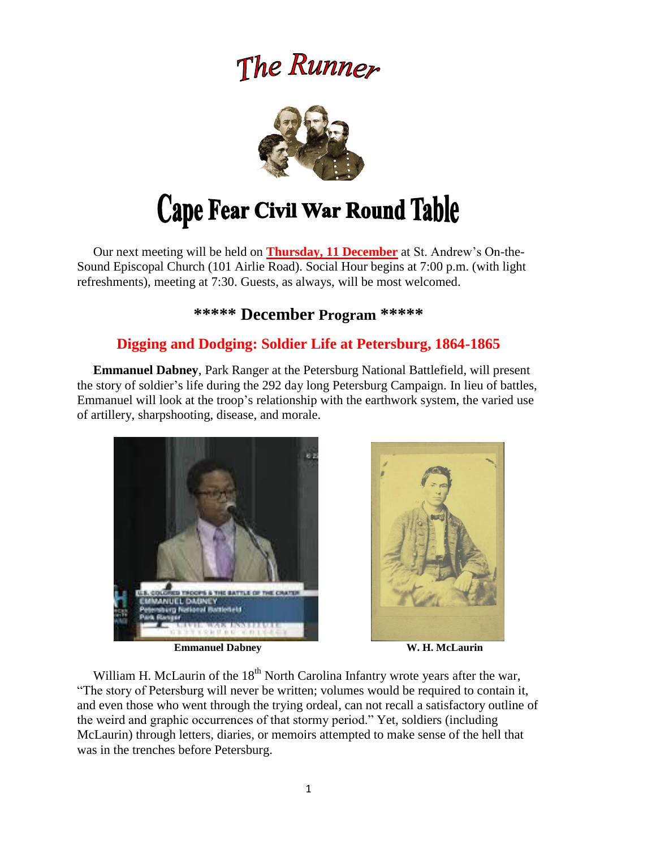## The Runner



# **Cape Fear Civil War Round Table**

 Our next meeting will be held on **Thursday, 11 December** at St. Andrew's On-the-Sound Episcopal Church (101 Airlie Road). Social Hour begins at 7:00 p.m. (with light refreshments), meeting at 7:30. Guests, as always, will be most welcomed.

**\*\*\*\*\* December Program \*\*\*\*\***

## **Digging and Dodging: Soldier Life at Petersburg, 1864-1865**

 **Emmanuel Dabney**, Park Ranger at the Petersburg National Battlefield, will present the story of soldier's life during the 292 day long Petersburg Campaign. In lieu of battles, Emmanuel will look at the troop's relationship with the earthwork system, the varied use of artillery, sharpshooting, disease, and morale.



**Emmanuel Dabney W. H. McLaurin** 

William H. McLaurin of the  $18<sup>th</sup>$  North Carolina Infantry wrote years after the war, "The story of Petersburg will never be written; volumes would be required to contain it, and even those who went through the trying ordeal, can not recall a satisfactory outline of the weird and graphic occurrences of that stormy period." Yet, soldiers (including McLaurin) through letters, diaries, or memoirs attempted to make sense of the hell that was in the trenches before Petersburg.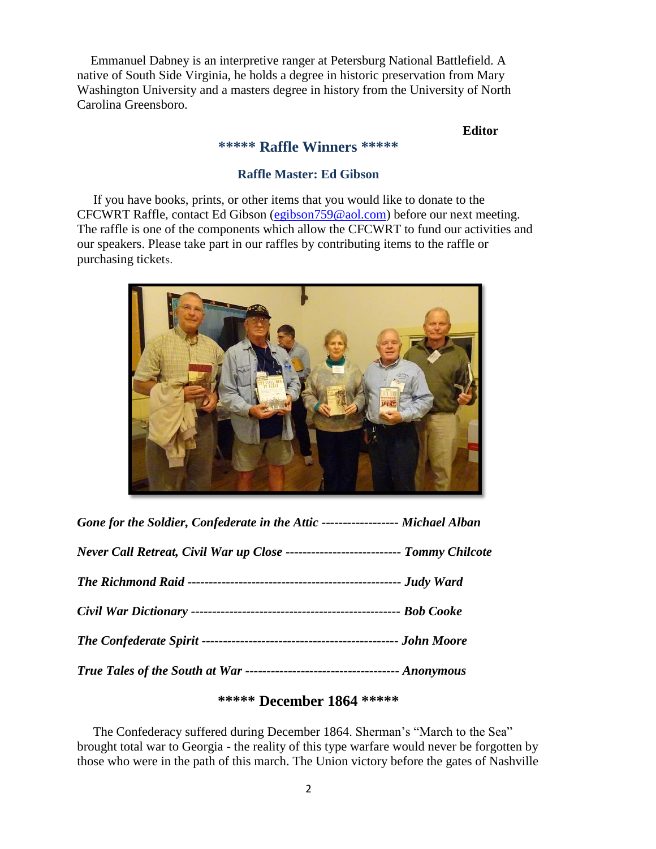Emmanuel Dabney is an interpretive ranger at Petersburg National Battlefield. A native of South Side Virginia, he holds a degree in historic preservation from Mary Washington University and a masters degree in history from the University of North Carolina Greensboro.

### **Editor**

#### **\*\*\*\*\* Raffle Winners \*\*\*\*\***

#### **Raffle Master: Ed Gibson**

 If you have books, prints, or other items that you would like to donate to the CFCWRT Raffle, contact Ed Gibson [\(egibson759@aol.com\)](mailto:egibson759@aol.com) before our next meeting. The raffle is one of the components which allow the CFCWRT to fund our activities and our speakers. Please take part in our raffles by contributing items to the raffle or purchasing tickets.



*Gone for the Soldier, Confederate in the Attic ------------------ Michael Alban*

| Never Call Retreat, Civil War up Close ---------------------------- Tommy Chilcote |  |
|------------------------------------------------------------------------------------|--|
|                                                                                    |  |
|                                                                                    |  |
|                                                                                    |  |
|                                                                                    |  |

## **\*\*\*\*\* December 1864 \*\*\*\*\***

 The Confederacy suffered during December 1864. Sherman's "March to the Sea" brought total war to Georgia - the reality of this type warfare would never be forgotten by those who were in the path of this march. The Union victory before the gates of Nashville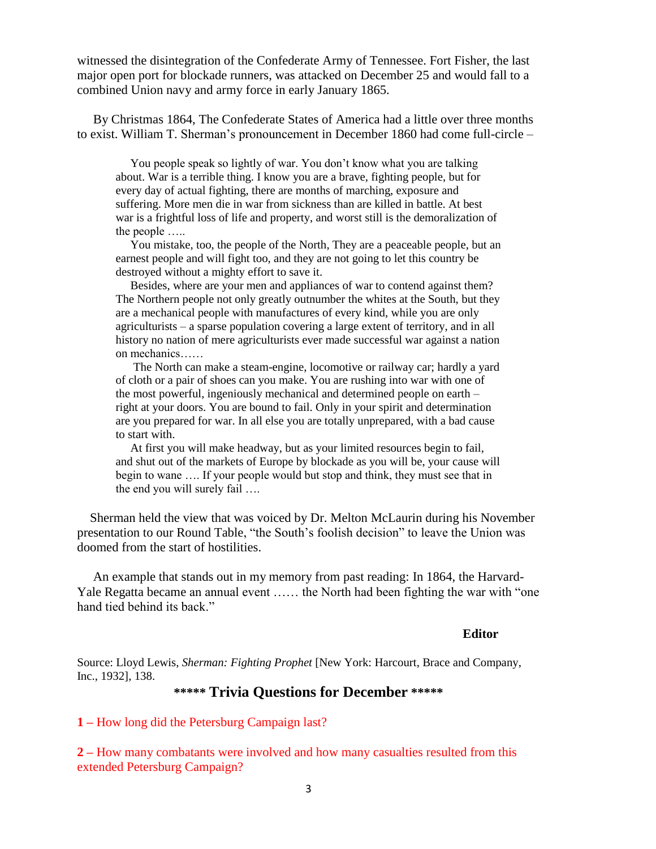witnessed the disintegration of the Confederate Army of Tennessee. Fort Fisher, the last major open port for blockade runners, was attacked on December 25 and would fall to a combined Union navy and army force in early January 1865.

 By Christmas 1864, The Confederate States of America had a little over three months to exist. William T. Sherman's pronouncement in December 1860 had come full-circle –

 You people speak so lightly of war. You don't know what you are talking about. War is a terrible thing. I know you are a brave, fighting people, but for every day of actual fighting, there are months of marching, exposure and suffering. More men die in war from sickness than are killed in battle. At best war is a frightful loss of life and property, and worst still is the demoralization of the people …..

 You mistake, too, the people of the North, They are a peaceable people, but an earnest people and will fight too, and they are not going to let this country be destroyed without a mighty effort to save it.

 Besides, where are your men and appliances of war to contend against them? The Northern people not only greatly outnumber the whites at the South, but they are a mechanical people with manufactures of every kind, while you are only agriculturists – a sparse population covering a large extent of territory, and in all history no nation of mere agriculturists ever made successful war against a nation on mechanics……

 The North can make a steam-engine, locomotive or railway car; hardly a yard of cloth or a pair of shoes can you make. You are rushing into war with one of the most powerful, ingeniously mechanical and determined people on earth – right at your doors. You are bound to fail. Only in your spirit and determination are you prepared for war. In all else you are totally unprepared, with a bad cause to start with.

 At first you will make headway, but as your limited resources begin to fail, and shut out of the markets of Europe by blockade as you will be, your cause will begin to wane …. If your people would but stop and think, they must see that in the end you will surely fail ….

 Sherman held the view that was voiced by Dr. Melton McLaurin during his November presentation to our Round Table, "the South's foolish decision" to leave the Union was doomed from the start of hostilities.

 An example that stands out in my memory from past reading: In 1864, the Harvard-Yale Regatta became an annual event …… the North had been fighting the war with "one hand tied behind its back."

#### **Editor**

Source: Lloyd Lewis, *Sherman: Fighting Prophet* [New York: Harcourt, Brace and Company, Inc., 1932], 138.

## **\*\*\*\*\* Trivia Questions for December \*\*\*\*\***

**1 –** How long did the Petersburg Campaign last?

**2 –** How many combatants were involved and how many casualties resulted from this extended Petersburg Campaign?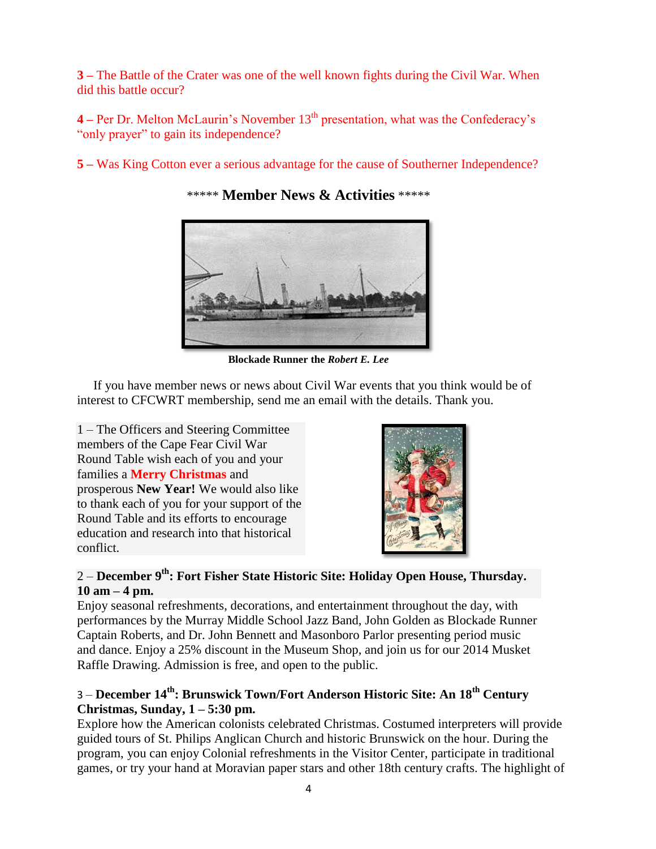**3 –** The Battle of the Crater was one of the well known fights during the Civil War. When did this battle occur?

**4** – Per Dr. Melton McLaurin's November 13<sup>th</sup> presentation, what was the Confederacy's "only prayer" to gain its independence?

## **5 –** Was King Cotton ever a serious advantage for the cause of Southerner Independence?

\*\*\*\*\* **Member News & Activities** \*\*\*\*\*



**Blockade Runner the** *Robert E. Lee*

 If you have member news or news about Civil War events that you think would be of interest to CFCWRT membership, send me an email with the details. Thank you.

1 – The Officers and Steering Committee members of the Cape Fear Civil War Round Table wish each of you and your families a **Merry Christmas** and prosperous **New Year!** We would also like to thank each of you for your support of the Round Table and its efforts to encourage education and research into that historical conflict.



## 2 – **December 9th: Fort Fisher State Historic Site: Holiday Open House, Thursday. 10 am – 4 pm.**

Enjoy seasonal refreshments, decorations, and entertainment throughout the day, with performances by the Murray Middle School Jazz Band, John Golden as Blockade Runner Captain Roberts, and Dr. John Bennett and Masonboro Parlor presenting period music and dance. Enjoy a 25% discount in the Museum Shop, and join us for our 2014 Musket Raffle Drawing. Admission is free, and open to the public.

## 3 – **December 14th: Brunswick Town/Fort Anderson Historic Site: An 18th Century Christmas, Sunday, 1 – 5:30 pm.**

Explore how the American colonists celebrated Christmas. Costumed interpreters will provide guided tours of St. Philips Anglican Church and historic Brunswick on the hour. During the program, you can enjoy Colonial refreshments in the Visitor Center, participate in traditional games, or try your hand at Moravian paper stars and other 18th century crafts. The highlight of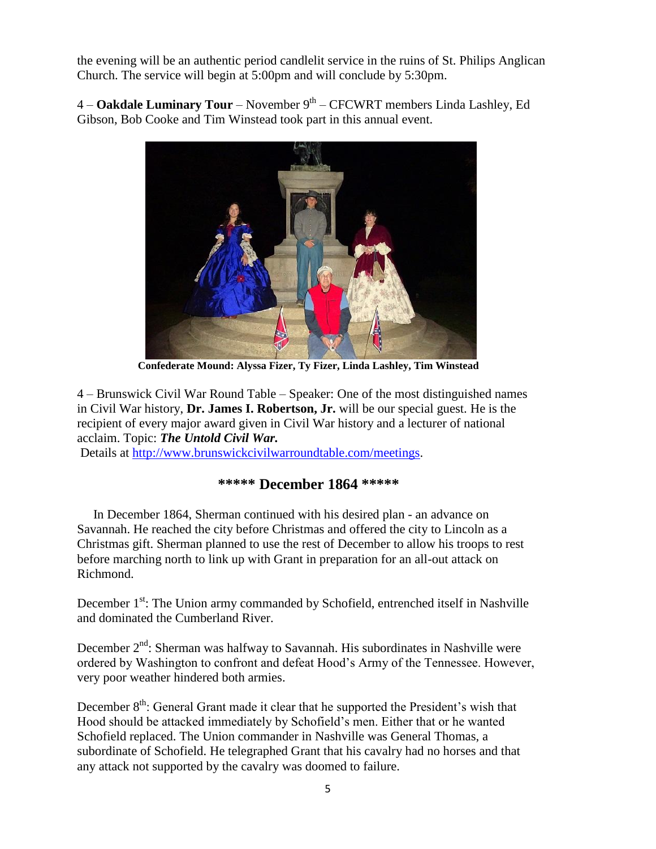the evening will be an authentic period candlelit service in the ruins of St. Philips Anglican Church. The service will begin at 5:00pm and will conclude by 5:30pm.

4 – **Oakdale Luminary Tour** – November 9<sup>th</sup> – CFCWRT members Linda Lashley, Ed Gibson, Bob Cooke and Tim Winstead took part in this annual event.



**Confederate Mound: Alyssa Fizer, Ty Fizer, Linda Lashley, Tim Winstead**

4 – Brunswick Civil War Round Table – Speaker: One of the most distinguished names in Civil War history, **Dr. James I. Robertson, Jr.** will be our special guest. He is the recipient of every major award given in Civil War history and a lecturer of national acclaim. Topic: *The Untold Civil War.* 

Details at [http://www.brunswickcivilwarroundtable.com/meetings.](http://www.brunswickcivilwarroundtable.com/meetings)

## **\*\*\*\*\* December 1864 \*\*\*\*\***

 In December 1864, Sherman continued with his desired plan - an advance on Savannah. He reached the city before Christmas and offered the city to Lincoln as a Christmas gift. Sherman planned to use the rest of December to allow his troops to rest before marching north to link up with Grant in preparation for an all-out attack on Richmond.

December 1<sup>st</sup>: The Union army commanded by Schofield, entrenched itself in Nashville and dominated the Cumberland River.

December  $2<sup>nd</sup>$ : Sherman was halfway to Savannah. His subordinates in Nashville were ordered by Washington to confront and defeat Hood's Army of the Tennessee. However, very poor weather hindered both armies.

December 8<sup>th</sup>: General Grant made it clear that he supported the President's wish that Hood should be attacked immediately by Schofield's men. Either that or he wanted Schofield replaced. The Union commander in Nashville was General Thomas, a subordinate of Schofield. He telegraphed Grant that his cavalry had no horses and that any attack not supported by the cavalry was doomed to failure.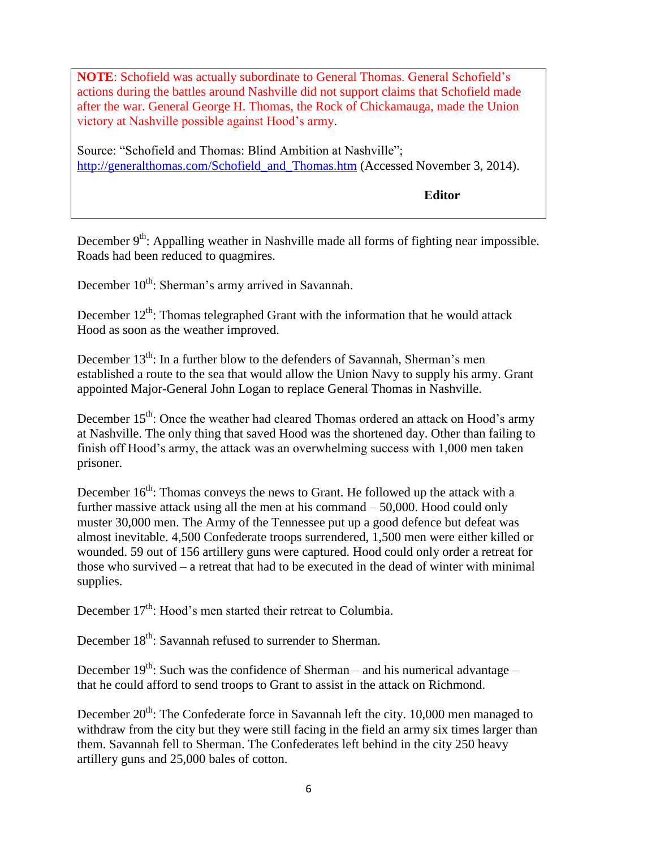**NOTE**: Schofield was actually subordinate to General Thomas. General Schofield's actions during the battles around Nashville did not support claims that Schofield made after the war. General George H. Thomas, the Rock of Chickamauga, made the Union victory at Nashville possible against Hood's army.

Source: "Schofield and Thomas: Blind Ambition at Nashville"; http://generalthomas.com/Schofield and Thomas.htm (Accessed November 3, 2014).

## **Editor**

December 9<sup>th</sup>: Appalling weather in Nashville made all forms of fighting near impossible. Roads had been reduced to quagmires.

December 10<sup>th</sup>: Sherman's army arrived in Savannah.

December  $12^{th}$ : Thomas telegraphed Grant with the information that he would attack Hood as soon as the weather improved.

December  $13<sup>th</sup>$ : In a further blow to the defenders of Savannah, Sherman's men established a route to the sea that would allow the Union Navy to supply his army. Grant appointed Major-General John Logan to replace General Thomas in Nashville.

December 15<sup>th</sup>: Once the weather had cleared Thomas ordered an attack on Hood's army at Nashville. The only thing that saved Hood was the shortened day. Other than failing to finish off Hood's army, the attack was an overwhelming success with 1,000 men taken prisoner.

December  $16<sup>th</sup>$ : Thomas conveys the news to Grant. He followed up the attack with a further massive attack using all the men at his command – 50,000. Hood could only muster 30,000 men. The Army of the Tennessee put up a good defence but defeat was almost inevitable. 4,500 Confederate troops surrendered, 1,500 men were either killed or wounded. 59 out of 156 artillery guns were captured. Hood could only order a retreat for those who survived – a retreat that had to be executed in the dead of winter with minimal supplies.

December  $17<sup>th</sup>$ : Hood's men started their retreat to Columbia.

December 18<sup>th</sup>: Savannah refused to surrender to Sherman.

December  $19<sup>th</sup>$ : Such was the confidence of Sherman – and his numerical advantage – that he could afford to send troops to Grant to assist in the attack on Richmond.

December  $20^{th}$ : The Confederate force in Savannah left the city. 10,000 men managed to withdraw from the city but they were still facing in the field an army six times larger than them. Savannah fell to Sherman. The Confederates left behind in the city 250 heavy artillery guns and 25,000 bales of cotton.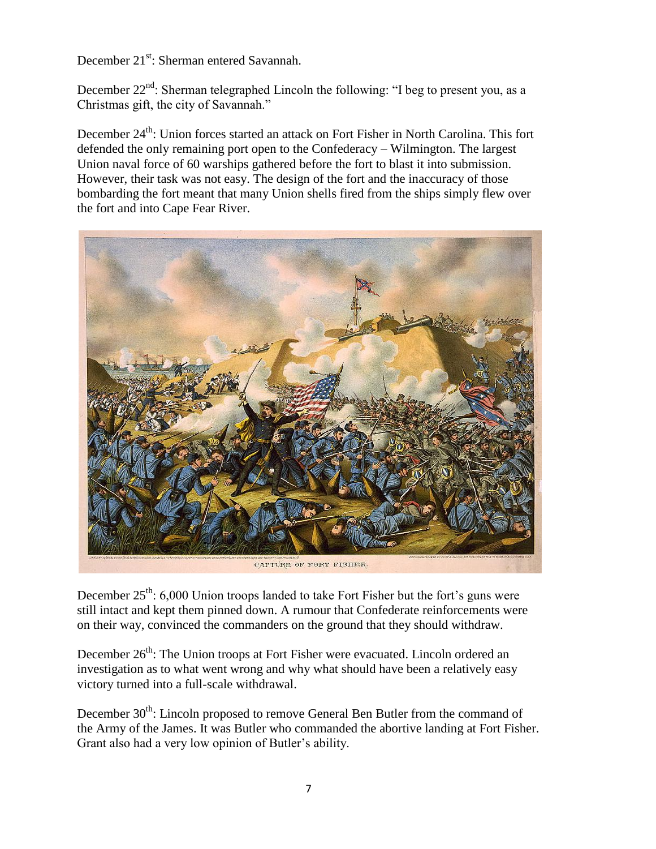December 21<sup>st</sup>: Sherman entered Savannah.

December  $22<sup>nd</sup>$ : Sherman telegraphed Lincoln the following: "I beg to present you, as a Christmas gift, the city of Savannah."

December 24<sup>th</sup>: Union forces started an attack on Fort Fisher in North Carolina. This fort defended the only remaining port open to the Confederacy – Wilmington. The largest Union naval force of 60 warships gathered before the fort to blast it into submission. However, their task was not easy. The design of the fort and the inaccuracy of those bombarding the fort meant that many Union shells fired from the ships simply flew over the fort and into Cape Fear River.



December  $25<sup>th</sup>$ : 6,000 Union troops landed to take Fort Fisher but the fort's guns were still intact and kept them pinned down. A rumour that Confederate reinforcements were on their way, convinced the commanders on the ground that they should withdraw.

December 26<sup>th</sup>: The Union troops at Fort Fisher were evacuated. Lincoln ordered an investigation as to what went wrong and why what should have been a relatively easy victory turned into a full-scale withdrawal.

December 30<sup>th</sup>: Lincoln proposed to remove General Ben Butler from the command of the Army of the James. It was Butler who commanded the abortive landing at Fort Fisher. Grant also had a very low opinion of Butler's ability.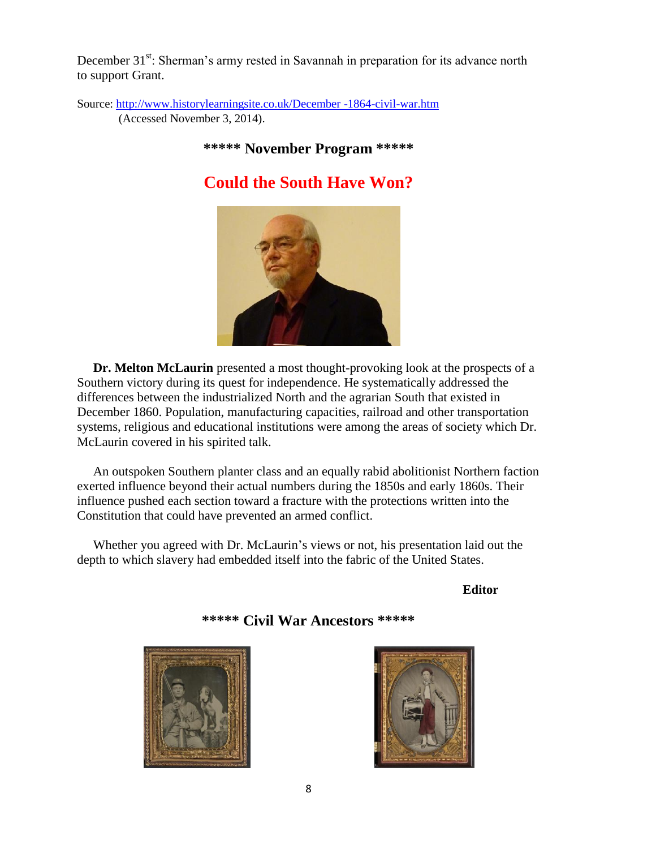December 31<sup>st</sup>: Sherman's army rested in Savannah in preparation for its advance north to support Grant.

Source: [http://www.historylearningsite.co.uk/December -1864-civil-war.htm](http://www.historylearningsite.co.uk/December%20-1864-civil-war.htm) (Accessed November 3, 2014).

**\*\*\*\*\* November Program \*\*\*\*\***

**Could the South Have Won?**



 **Dr. Melton McLaurin** presented a most thought-provoking look at the prospects of a Southern victory during its quest for independence. He systematically addressed the differences between the industrialized North and the agrarian South that existed in December 1860. Population, manufacturing capacities, railroad and other transportation systems, religious and educational institutions were among the areas of society which Dr. McLaurin covered in his spirited talk.

An outspoken Southern planter class and an equally rabid abolitionist Northern faction exerted influence beyond their actual numbers during the 1850s and early 1860s. Their influence pushed each section toward a fracture with the protections written into the Constitution that could have prevented an armed conflict.

Whether you agreed with Dr. McLaurin's views or not, his presentation laid out the depth to which slavery had embedded itself into the fabric of the United States.

## **Editor**



## **\*\*\*\*\* Civil War Ancestors \*\*\*\*\***

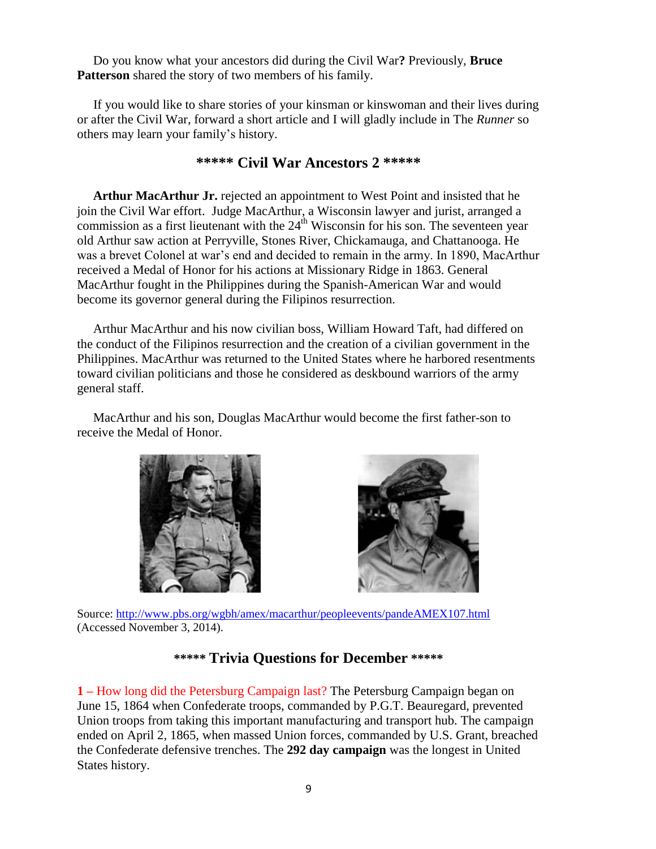Do you know what your ancestors did during the Civil War**?** Previously, **Bruce Patterson** shared the story of two members of his family.

 If you would like to share stories of your kinsman or kinswoman and their lives during or after the Civil War, forward a short article and I will gladly include in The *Runner* so others may learn your family's history.

## **\*\*\*\*\* Civil War Ancestors 2 \*\*\*\*\***

 **Arthur MacArthur Jr.** rejected an appointment to West Point and insisted that he join the Civil War effort. Judge MacArthur, a Wisconsin lawyer and jurist, arranged a commission as a first lieutenant with the  $24<sup>th</sup>$  Wisconsin for his son. The seventeen year old Arthur saw action at Perryville, Stones River, Chickamauga, and Chattanooga. He was a brevet Colonel at war's end and decided to remain in the army. In 1890, MacArthur received a Medal of Honor for his actions at Missionary Ridge in 1863. General MacArthur fought in the Philippines during the Spanish-American War and would become its governor general during the Filipinos resurrection.

 Arthur MacArthur and his now civilian boss, William Howard Taft, had differed on the conduct of the Filipinos resurrection and the creation of a civilian government in the Philippines. MacArthur was returned to the United States where he harbored resentments toward civilian politicians and those he considered as deskbound warriors of the army general staff.

 MacArthur and his son, Douglas MacArthur would become the first father-son to receive the Medal of Honor.





Source:<http://www.pbs.org/wgbh/amex/macarthur/peopleevents/pandeAMEX107.html> (Accessed November 3, 2014).

## **\*\*\*\*\* Trivia Questions for December \*\*\*\*\***

**1 –** How long did the Petersburg Campaign last? The Petersburg Campaign began on June 15, 1864 when Confederate troops, commanded by P.G.T. Beauregard, prevented Union troops from taking this important manufacturing and transport hub. The campaign ended on April 2, 1865, when massed Union forces, commanded by U.S. Grant, breached the Confederate defensive trenches. The **292 day campaign** was the longest in United States history.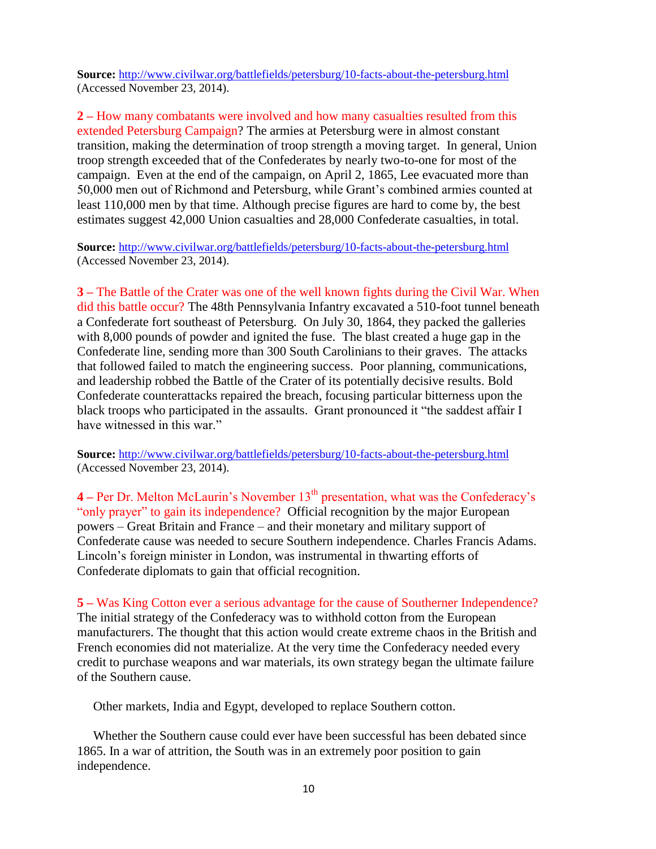**Source:** <http://www.civilwar.org/battlefields/petersburg/10-facts-about-the-petersburg.html> (Accessed November 23, 2014).

**2 –** How many combatants were involved and how many casualties resulted from this extended Petersburg Campaign? The armies at Petersburg were in almost constant transition, making the determination of troop strength a moving target. In general, Union troop strength exceeded that of the Confederates by nearly two-to-one for most of the campaign. Even at the end of the campaign, on April 2, 1865, Lee evacuated more than 50,000 men out of Richmond and Petersburg, while Grant's combined armies counted at least 110,000 men by that time. Although precise figures are hard to come by, the best estimates suggest 42,000 Union casualties and 28,000 Confederate casualties, in total.

**Source:** <http://www.civilwar.org/battlefields/petersburg/10-facts-about-the-petersburg.html> (Accessed November 23, 2014).

**3 –** The Battle of the Crater was one of the well known fights during the Civil War. When did this battle occur? The 48th Pennsylvania Infantry excavated a 510-foot tunnel beneath a Confederate fort southeast of Petersburg. On July 30, 1864, they packed the galleries with 8,000 pounds of powder and ignited the fuse. The blast created a huge gap in the Confederate line, sending more than 300 South Carolinians to their graves. The attacks that followed failed to match the engineering success. Poor planning, communications, and leadership robbed the Battle of the Crater of its potentially decisive results. Bold Confederate counterattacks repaired the breach, focusing particular bitterness upon the black troops who participated in the assaults. Grant pronounced it "the saddest affair I have witnessed in this war."

**Source:** <http://www.civilwar.org/battlefields/petersburg/10-facts-about-the-petersburg.html> (Accessed November 23, 2014).

**4 –** Per Dr. Melton McLaurin's November 13th presentation, what was the Confederacy's "only prayer" to gain its independence? Official recognition by the major European powers – Great Britain and France – and their monetary and military support of Confederate cause was needed to secure Southern independence. Charles Francis Adams. Lincoln's foreign minister in London, was instrumental in thwarting efforts of Confederate diplomats to gain that official recognition.

**5 –** Was King Cotton ever a serious advantage for the cause of Southerner Independence? The initial strategy of the Confederacy was to withhold cotton from the European manufacturers. The thought that this action would create extreme chaos in the British and French economies did not materialize. At the very time the Confederacy needed every credit to purchase weapons and war materials, its own strategy began the ultimate failure of the Southern cause.

Other markets, India and Egypt, developed to replace Southern cotton.

 Whether the Southern cause could ever have been successful has been debated since 1865. In a war of attrition, the South was in an extremely poor position to gain independence.